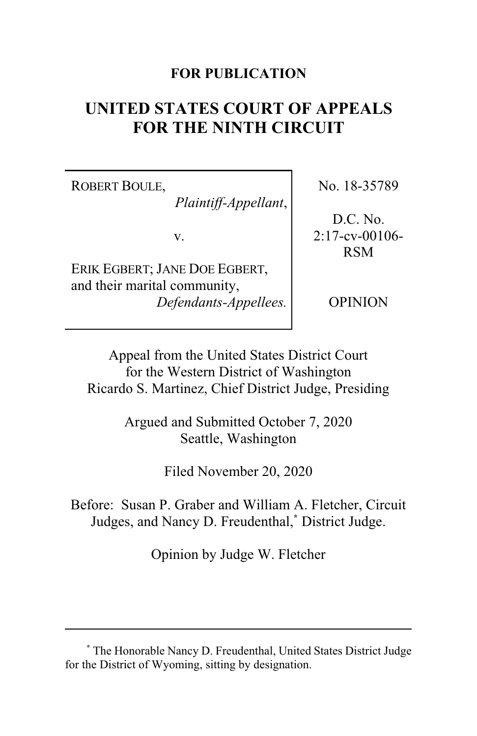### **FOR PUBLICATION**

# **UNITED STATES COURT OF APPEALS FOR THE NINTH CIRCUIT**

ROBERT BOULE,

*Plaintiff-Appellant*,

v.

ERIK EGBERT; JANE DOE EGBERT, and their marital community, *Defendants-Appellees.* No. 18-35789

D.C. No. 2:17-cv-00106- RSM

OPINION

Appeal from the United States District Court for the Western District of Washington Ricardo S. Martinez, Chief District Judge, Presiding

> Argued and Submitted October 7, 2020 Seattle, Washington

> > Filed November 20, 2020

Before: Susan P. Graber and William A. Fletcher, Circuit Judges, and Nancy D. Freudenthal,**\*** District Judge.

Opinion by Judge W. Fletcher

**<sup>\*</sup>** The Honorable Nancy D. Freudenthal, United States District Judge for the District of Wyoming, sitting by designation.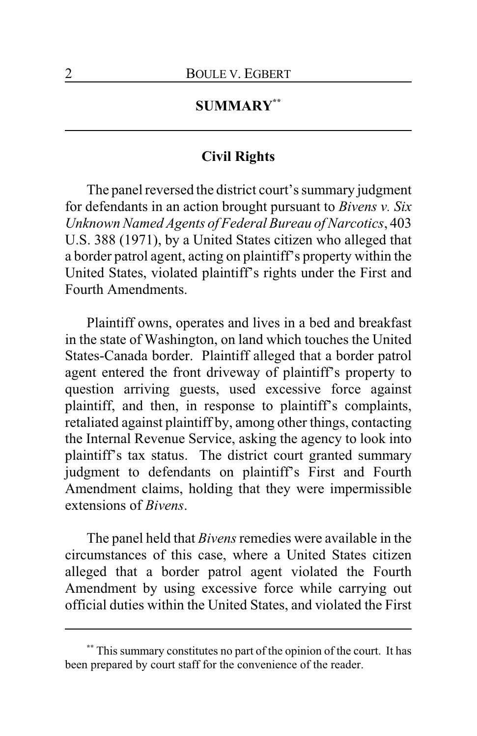## **SUMMARY\*\***

### **Civil Rights**

The panel reversed the district court's summary judgment for defendants in an action brought pursuant to *Bivens v. Six Unknown Named Agents of Federal Bureau of Narcotics*, 403 U.S. 388 (1971), by a United States citizen who alleged that a border patrol agent, acting on plaintiff's property within the United States, violated plaintiff's rights under the First and Fourth Amendments.

Plaintiff owns, operates and lives in a bed and breakfast in the state of Washington, on land which touches the United States-Canada border. Plaintiff alleged that a border patrol agent entered the front driveway of plaintiff's property to question arriving guests, used excessive force against plaintiff, and then, in response to plaintiff's complaints, retaliated against plaintiff by, among other things, contacting the Internal Revenue Service, asking the agency to look into plaintiff's tax status. The district court granted summary judgment to defendants on plaintiff's First and Fourth Amendment claims, holding that they were impermissible extensions of *Bivens*.

The panel held that *Bivens*remedies were available in the circumstances of this case, where a United States citizen alleged that a border patrol agent violated the Fourth Amendment by using excessive force while carrying out official duties within the United States, and violated the First

**<sup>\*\*</sup>** This summary constitutes no part of the opinion of the court. It has been prepared by court staff for the convenience of the reader.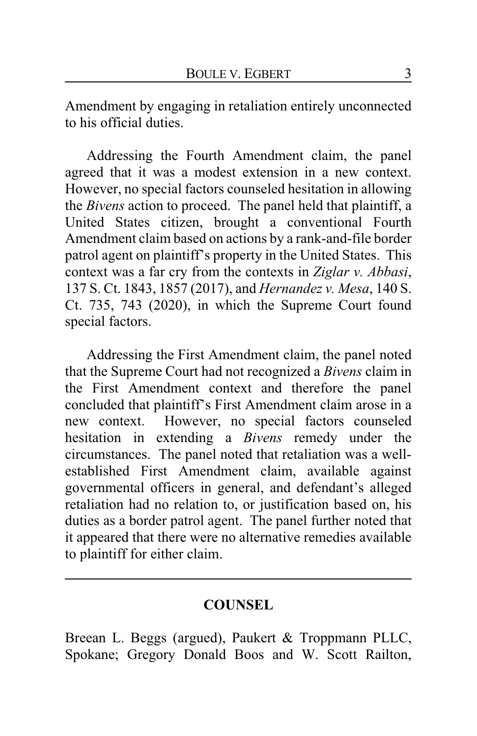Amendment by engaging in retaliation entirely unconnected to his official duties.

Addressing the Fourth Amendment claim, the panel agreed that it was a modest extension in a new context. However, no special factors counseled hesitation in allowing the *Bivens* action to proceed. The panel held that plaintiff, a United States citizen, brought a conventional Fourth Amendment claim based on actions by a rank-and-file border patrol agent on plaintiff's property in the United States. This context was a far cry from the contexts in *Ziglar v. Abbasi*, 137 S. Ct. 1843, 1857 (2017), and *Hernandez v. Mesa*, 140 S. Ct. 735, 743 (2020), in which the Supreme Court found special factors.

Addressing the First Amendment claim, the panel noted that the Supreme Court had not recognized a *Bivens* claim in the First Amendment context and therefore the panel concluded that plaintiff's First Amendment claim arose in a new context. However, no special factors counseled hesitation in extending a *Bivens* remedy under the circumstances. The panel noted that retaliation was a wellestablished First Amendment claim, available against governmental officers in general, and defendant's alleged retaliation had no relation to, or justification based on, his duties as a border patrol agent. The panel further noted that it appeared that there were no alternative remedies available to plaintiff for either claim.

### **COUNSEL**

Breean L. Beggs (argued), Paukert & Troppmann PLLC, Spokane; Gregory Donald Boos and W. Scott Railton,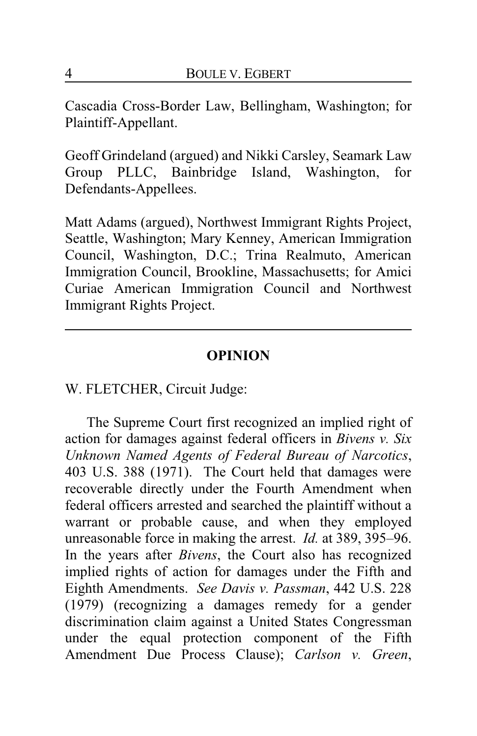Cascadia Cross-Border Law, Bellingham, Washington; for Plaintiff-Appellant.

Geoff Grindeland (argued) and Nikki Carsley, Seamark Law Group PLLC, Bainbridge Island, Washington, for Defendants-Appellees.

Matt Adams (argued), Northwest Immigrant Rights Project, Seattle, Washington; Mary Kenney, American Immigration Council, Washington, D.C.; Trina Realmuto, American Immigration Council, Brookline, Massachusetts; for Amici Curiae American Immigration Council and Northwest Immigrant Rights Project.

#### **OPINION**

W. FLETCHER, Circuit Judge:

The Supreme Court first recognized an implied right of action for damages against federal officers in *Bivens v. Six Unknown Named Agents of Federal Bureau of Narcotics*, 403 U.S. 388 (1971). The Court held that damages were recoverable directly under the Fourth Amendment when federal officers arrested and searched the plaintiff without a warrant or probable cause, and when they employed unreasonable force in making the arrest. *Id.* at 389, 395–96. In the years after *Bivens*, the Court also has recognized implied rights of action for damages under the Fifth and Eighth Amendments. *See Davis v. Passman*, 442 U.S. 228 (1979) (recognizing a damages remedy for a gender discrimination claim against a United States Congressman under the equal protection component of the Fifth Amendment Due Process Clause); *Carlson v. Green*,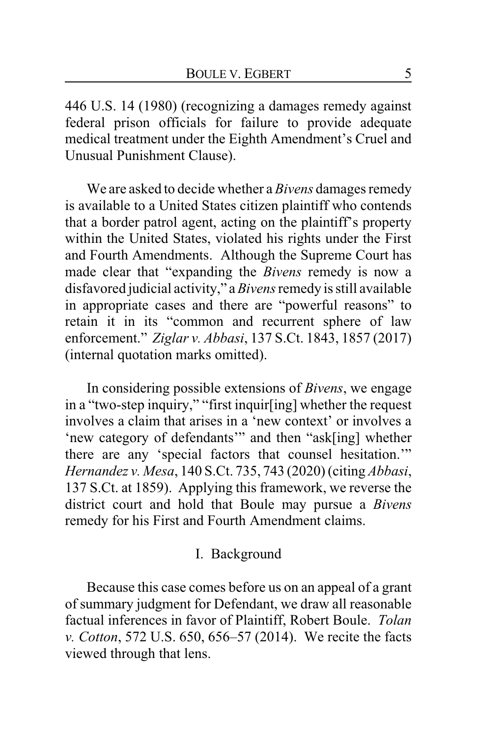446 U.S. 14 (1980) (recognizing a damages remedy against federal prison officials for failure to provide adequate medical treatment under the Eighth Amendment's Cruel and Unusual Punishment Clause).

We are asked to decide whether a *Bivens* damages remedy is available to a United States citizen plaintiff who contends that a border patrol agent, acting on the plaintiff's property within the United States, violated his rights under the First and Fourth Amendments. Although the Supreme Court has made clear that "expanding the *Bivens* remedy is now a disfavored judicial activity," a *Bivens* remedy is still available in appropriate cases and there are "powerful reasons" to retain it in its "common and recurrent sphere of law enforcement." *Ziglar v. Abbasi*, 137 S.Ct. 1843, 1857 (2017) (internal quotation marks omitted).

In considering possible extensions of *Bivens*, we engage in a "two-step inquiry," "first inquir[ing] whether the request involves a claim that arises in a 'new context' or involves a 'new category of defendants'" and then "ask[ing] whether there are any 'special factors that counsel hesitation.'" *Hernandez v. Mesa*, 140 S.Ct. 735, 743 (2020) (citing *Abbasi*, 137 S.Ct. at 1859). Applying this framework, we reverse the district court and hold that Boule may pursue a *Bivens* remedy for his First and Fourth Amendment claims.

### I. Background

Because this case comes before us on an appeal of a grant of summary judgment for Defendant, we draw all reasonable factual inferences in favor of Plaintiff, Robert Boule. *Tolan v. Cotton*, 572 U.S. 650, 656–57 (2014). We recite the facts viewed through that lens.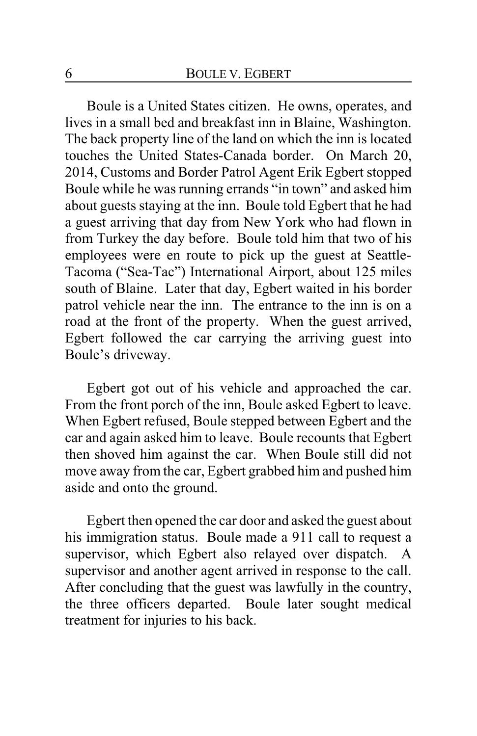Boule is a United States citizen. He owns, operates, and lives in a small bed and breakfast inn in Blaine, Washington. The back property line of the land on which the inn is located touches the United States-Canada border. On March 20, 2014, Customs and Border Patrol Agent Erik Egbert stopped Boule while he was running errands "in town" and asked him about guests staying at the inn. Boule told Egbert that he had a guest arriving that day from New York who had flown in from Turkey the day before. Boule told him that two of his employees were en route to pick up the guest at Seattle-Tacoma ("Sea-Tac") International Airport, about 125 miles south of Blaine. Later that day, Egbert waited in his border patrol vehicle near the inn. The entrance to the inn is on a road at the front of the property. When the guest arrived, Egbert followed the car carrying the arriving guest into Boule's driveway.

Egbert got out of his vehicle and approached the car. From the front porch of the inn, Boule asked Egbert to leave. When Egbert refused, Boule stepped between Egbert and the car and again asked him to leave. Boule recounts that Egbert then shoved him against the car. When Boule still did not move away from the car, Egbert grabbed him and pushed him aside and onto the ground.

Egbert then opened the car door and asked the guest about his immigration status. Boule made a 911 call to request a supervisor, which Egbert also relayed over dispatch. A supervisor and another agent arrived in response to the call. After concluding that the guest was lawfully in the country, the three officers departed. Boule later sought medical treatment for injuries to his back.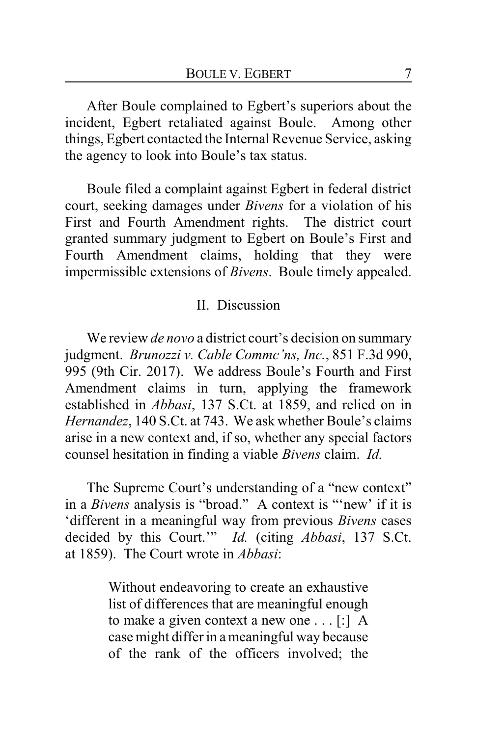After Boule complained to Egbert's superiors about the incident, Egbert retaliated against Boule. Among other things, Egbert contacted the Internal Revenue Service, asking the agency to look into Boule's tax status.

Boule filed a complaint against Egbert in federal district court, seeking damages under *Bivens* for a violation of his First and Fourth Amendment rights. The district court granted summary judgment to Egbert on Boule's First and Fourth Amendment claims, holding that they were impermissible extensions of *Bivens*. Boule timely appealed.

### II. Discussion

We review *de novo* a district court's decision on summary judgment. *Brunozzi v. Cable Commc'ns, Inc.*, 851 F.3d 990, 995 (9th Cir. 2017). We address Boule's Fourth and First Amendment claims in turn, applying the framework established in *Abbasi*, 137 S.Ct. at 1859, and relied on in *Hernandez*, 140 S.Ct. at 743. We ask whether Boule's claims arise in a new context and, if so, whether any special factors counsel hesitation in finding a viable *Bivens* claim. *Id.*

The Supreme Court's understanding of a "new context" in a *Bivens* analysis is "broad." A context is "'new' if it is 'different in a meaningful way from previous *Bivens* cases decided by this Court.'" *Id.* (citing *Abbasi*, 137 S.Ct. at 1859). The Court wrote in *Abbasi*:

> Without endeavoring to create an exhaustive list of differences that are meaningful enough to make a given context a new one . . . [:] A case might differ in a meaningful way because of the rank of the officers involved; the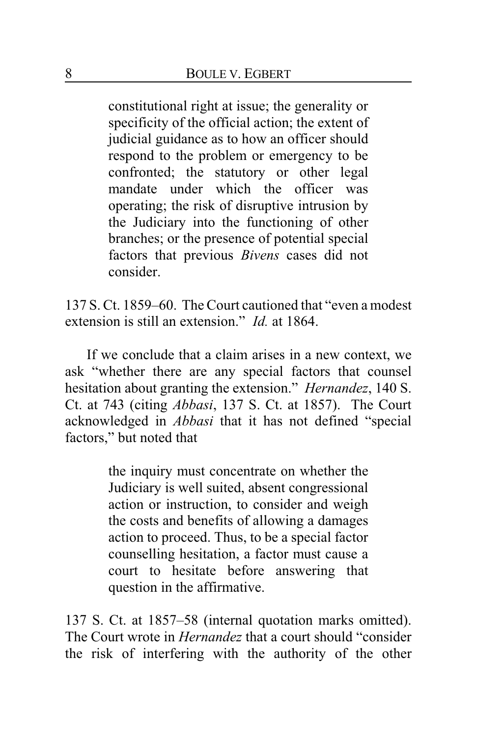constitutional right at issue; the generality or specificity of the official action; the extent of judicial guidance as to how an officer should respond to the problem or emergency to be confronted; the statutory or other legal mandate under which the officer was operating; the risk of disruptive intrusion by the Judiciary into the functioning of other branches; or the presence of potential special factors that previous *Bivens* cases did not consider.

137 S. Ct. 1859–60. The Court cautioned that "even a modest extension is still an extension." *Id.* at 1864.

If we conclude that a claim arises in a new context, we ask "whether there are any special factors that counsel hesitation about granting the extension." *Hernandez*, 140 S. Ct. at 743 (citing *Abbasi*, 137 S. Ct. at 1857). The Court acknowledged in *Abbasi* that it has not defined "special factors," but noted that

> the inquiry must concentrate on whether the Judiciary is well suited, absent congressional action or instruction, to consider and weigh the costs and benefits of allowing a damages action to proceed. Thus, to be a special factor counselling hesitation, a factor must cause a court to hesitate before answering that question in the affirmative.

137 S. Ct. at 1857–58 (internal quotation marks omitted). The Court wrote in *Hernandez* that a court should "consider the risk of interfering with the authority of the other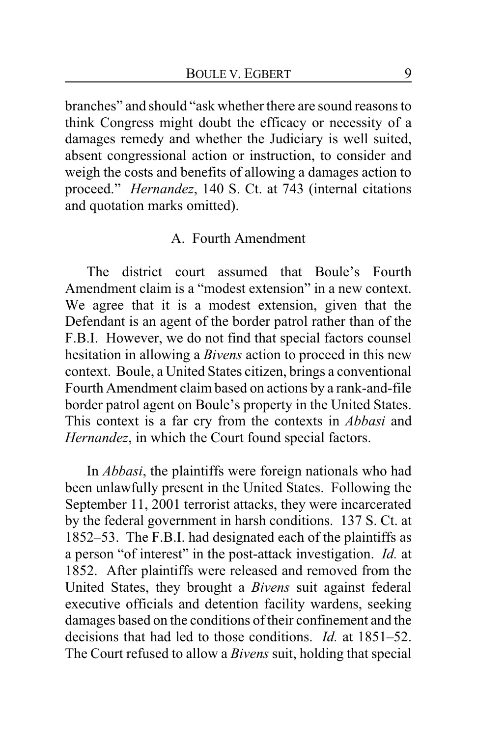branches" and should "ask whether there are sound reasons to think Congress might doubt the efficacy or necessity of a damages remedy and whether the Judiciary is well suited, absent congressional action or instruction, to consider and weigh the costs and benefits of allowing a damages action to proceed." *Hernandez*, 140 S. Ct. at 743 (internal citations and quotation marks omitted).

### A. Fourth Amendment

The district court assumed that Boule's Fourth Amendment claim is a "modest extension" in a new context. We agree that it is a modest extension, given that the Defendant is an agent of the border patrol rather than of the F.B.I. However, we do not find that special factors counsel hesitation in allowing a *Bivens* action to proceed in this new context. Boule, a United States citizen, brings a conventional Fourth Amendment claim based on actions by a rank-and-file border patrol agent on Boule's property in the United States. This context is a far cry from the contexts in *Abbasi* and *Hernandez*, in which the Court found special factors.

In *Abbasi*, the plaintiffs were foreign nationals who had been unlawfully present in the United States. Following the September 11, 2001 terrorist attacks, they were incarcerated by the federal government in harsh conditions. 137 S. Ct. at 1852–53. The F.B.I. had designated each of the plaintiffs as a person "of interest" in the post-attack investigation. *Id.* at 1852. After plaintiffs were released and removed from the United States, they brought a *Bivens* suit against federal executive officials and detention facility wardens, seeking damages based on the conditions of their confinement and the decisions that had led to those conditions. *Id.* at 1851–52. The Court refused to allow a *Bivens* suit, holding that special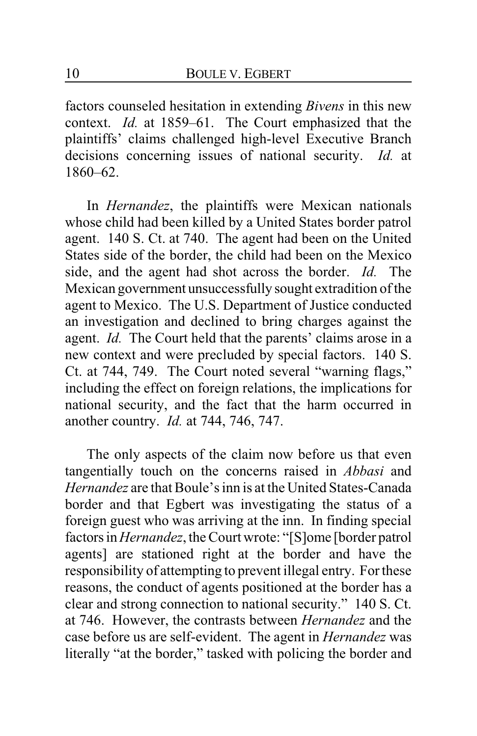factors counseled hesitation in extending *Bivens* in this new context. *Id.* at 1859–61. The Court emphasized that the plaintiffs' claims challenged high-level Executive Branch decisions concerning issues of national security. *Id.* at 1860–62.

In *Hernandez*, the plaintiffs were Mexican nationals whose child had been killed by a United States border patrol agent. 140 S. Ct. at 740. The agent had been on the United States side of the border, the child had been on the Mexico side, and the agent had shot across the border. *Id.* The Mexican government unsuccessfully sought extradition of the agent to Mexico. The U.S. Department of Justice conducted an investigation and declined to bring charges against the agent. *Id.* The Court held that the parents' claims arose in a new context and were precluded by special factors. 140 S. Ct. at 744, 749. The Court noted several "warning flags," including the effect on foreign relations, the implications for national security, and the fact that the harm occurred in another country. *Id.* at 744, 746, 747.

The only aspects of the claim now before us that even tangentially touch on the concerns raised in *Abbasi* and *Hernandez* are that Boule's inn is at the United States-Canada border and that Egbert was investigating the status of a foreign guest who was arriving at the inn. In finding special factors in*Hernandez*, the Court wrote: "[S]ome [border patrol agents] are stationed right at the border and have the responsibility of attempting to prevent illegal entry. For these reasons, the conduct of agents positioned at the border has a clear and strong connection to national security." 140 S. Ct. at 746. However, the contrasts between *Hernandez* and the case before us are self-evident. The agent in *Hernandez* was literally "at the border," tasked with policing the border and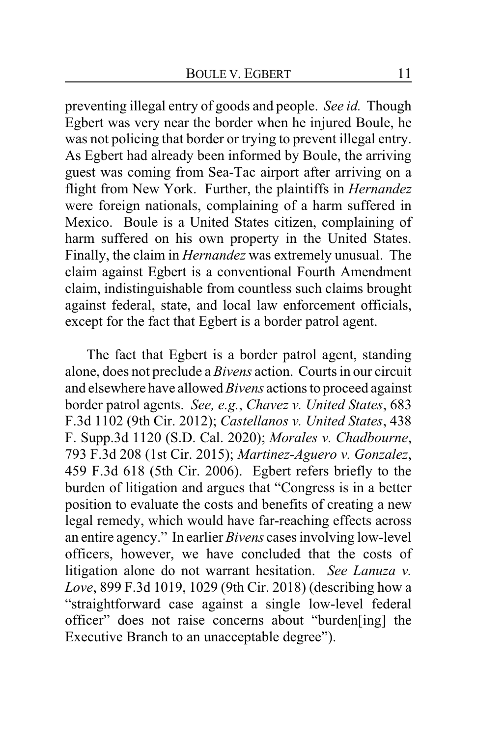preventing illegal entry of goods and people. *See id.* Though Egbert was very near the border when he injured Boule, he was not policing that border or trying to prevent illegal entry. As Egbert had already been informed by Boule, the arriving guest was coming from Sea-Tac airport after arriving on a flight from New York. Further, the plaintiffs in *Hernandez* were foreign nationals, complaining of a harm suffered in Mexico. Boule is a United States citizen, complaining of harm suffered on his own property in the United States. Finally, the claim in *Hernandez* was extremely unusual. The claim against Egbert is a conventional Fourth Amendment claim, indistinguishable from countless such claims brought against federal, state, and local law enforcement officials, except for the fact that Egbert is a border patrol agent.

The fact that Egbert is a border patrol agent, standing alone, does not preclude a *Bivens* action. Courts in our circuit and elsewhere have allowed *Bivens* actions to proceed against border patrol agents. *See, e.g.*, *Chavez v. United States*, 683 F.3d 1102 (9th Cir. 2012); *Castellanos v. United States*, 438 F. Supp.3d 1120 (S.D. Cal. 2020); *Morales v. Chadbourne*, 793 F.3d 208 (1st Cir. 2015); *Martinez-Aguero v. Gonzalez*, 459 F.3d 618 (5th Cir. 2006). Egbert refers briefly to the burden of litigation and argues that "Congress is in a better position to evaluate the costs and benefits of creating a new legal remedy, which would have far-reaching effects across an entire agency." In earlier *Bivens* cases involving low-level officers, however, we have concluded that the costs of litigation alone do not warrant hesitation. *See Lanuza v. Love*, 899 F.3d 1019, 1029 (9th Cir. 2018) (describing how a "straightforward case against a single low-level federal officer" does not raise concerns about "burden[ing] the Executive Branch to an unacceptable degree").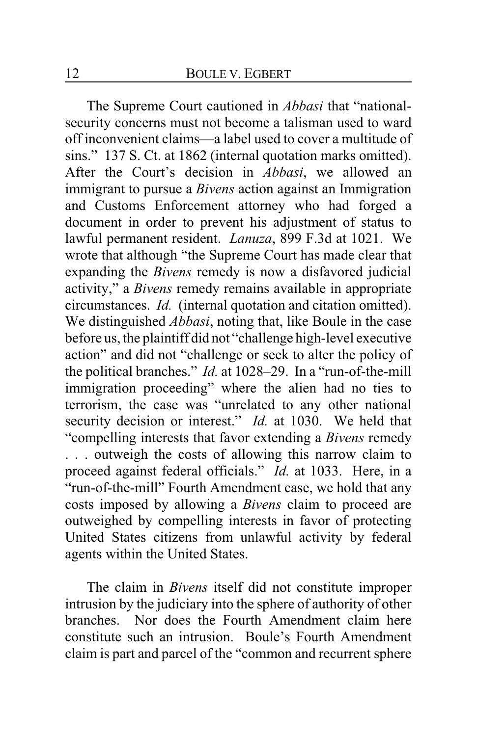The Supreme Court cautioned in *Abbasi* that "nationalsecurity concerns must not become a talisman used to ward off inconvenient claims—a label used to cover a multitude of sins." 137 S. Ct. at 1862 (internal quotation marks omitted). After the Court's decision in *Abbasi*, we allowed an immigrant to pursue a *Bivens* action against an Immigration and Customs Enforcement attorney who had forged a document in order to prevent his adjustment of status to lawful permanent resident. *Lanuza*, 899 F.3d at 1021. We wrote that although "the Supreme Court has made clear that expanding the *Bivens* remedy is now a disfavored judicial activity," a *Bivens* remedy remains available in appropriate circumstances. *Id.* (internal quotation and citation omitted). We distinguished *Abbasi*, noting that, like Boule in the case before us, the plaintiff did not "challenge high-level executive action" and did not "challenge or seek to alter the policy of the political branches." *Id.* at 1028–29. In a "run-of-the-mill immigration proceeding" where the alien had no ties to terrorism, the case was "unrelated to any other national security decision or interest." *Id.* at 1030. We held that "compelling interests that favor extending a *Bivens* remedy . . . outweigh the costs of allowing this narrow claim to proceed against federal officials." *Id.* at 1033. Here, in a "run-of-the-mill" Fourth Amendment case, we hold that any costs imposed by allowing a *Bivens* claim to proceed are outweighed by compelling interests in favor of protecting United States citizens from unlawful activity by federal agents within the United States.

The claim in *Bivens* itself did not constitute improper intrusion by the judiciary into the sphere of authority of other branches. Nor does the Fourth Amendment claim here constitute such an intrusion. Boule's Fourth Amendment claim is part and parcel of the "common and recurrent sphere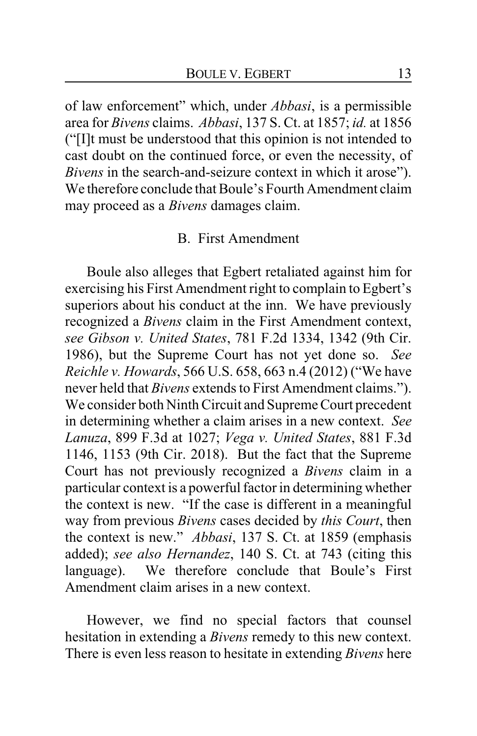of law enforcement" which, under *Abbasi*, is a permissible area for *Bivens* claims. *Abbasi*, 137 S. Ct. at 1857; *id.* at 1856 ("[I]t must be understood that this opinion is not intended to cast doubt on the continued force, or even the necessity, of *Bivens* in the search-and-seizure context in which it arose"). We therefore conclude that Boule's Fourth Amendment claim may proceed as a *Bivens* damages claim.

#### B. First Amendment

Boule also alleges that Egbert retaliated against him for exercising his First Amendment right to complain to Egbert's superiors about his conduct at the inn. We have previously recognized a *Bivens* claim in the First Amendment context, *see Gibson v. United States*, 781 F.2d 1334, 1342 (9th Cir. 1986), but the Supreme Court has not yet done so. *See Reichle v. Howards*, 566 U.S. 658, 663 n.4 (2012) ("We have never held that *Bivens* extends to First Amendment claims."). We consider both Ninth Circuit and Supreme Court precedent in determining whether a claim arises in a new context. *See Lanuza*, 899 F.3d at 1027; *Vega v. United States*, 881 F.3d 1146, 1153 (9th Cir. 2018). But the fact that the Supreme Court has not previously recognized a *Bivens* claim in a particular context is a powerful factor in determining whether the context is new. "If the case is different in a meaningful way from previous *Bivens* cases decided by *this Court*, then the context is new." *Abbasi*, 137 S. Ct. at 1859 (emphasis added); *see also Hernandez*, 140 S. Ct. at 743 (citing this language). We therefore conclude that Boule's First Amendment claim arises in a new context.

However, we find no special factors that counsel hesitation in extending a *Bivens* remedy to this new context. There is even less reason to hesitate in extending *Bivens* here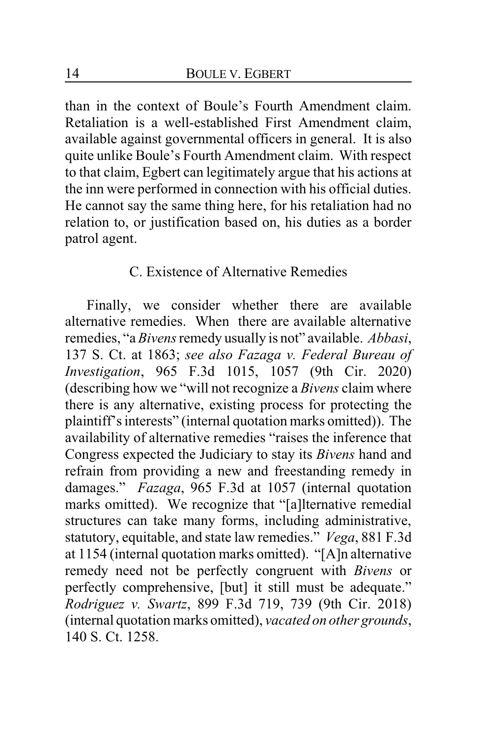than in the context of Boule's Fourth Amendment claim. Retaliation is a well-established First Amendment claim, available against governmental officers in general. It is also quite unlike Boule's Fourth Amendment claim. With respect to that claim, Egbert can legitimately argue that his actions at the inn were performed in connection with his official duties. He cannot say the same thing here, for his retaliation had no relation to, or justification based on, his duties as a border patrol agent.

### C. Existence of Alternative Remedies

Finally, we consider whether there are available alternative remedies. When there are available alternative remedies, "a *Bivens* remedy usually is not" available. *Abbasi*, 137 S. Ct. at 1863; *see also Fazaga v. Federal Bureau of Investigation*, 965 F.3d 1015, 1057 (9th Cir. 2020) (describing how we "will not recognize a *Bivens* claim where there is any alternative, existing process for protecting the plaintiff's interests" (internal quotation marks omitted)). The availability of alternative remedies "raises the inference that Congress expected the Judiciary to stay its *Bivens* hand and refrain from providing a new and freestanding remedy in damages." *Fazaga*, 965 F.3d at 1057 (internal quotation marks omitted). We recognize that "[a]lternative remedial structures can take many forms, including administrative, statutory, equitable, and state law remedies." *Vega*, 881 F.3d at 1154 (internal quotation marks omitted). "[A]n alternative remedy need not be perfectly congruent with *Bivens* or perfectly comprehensive, [but] it still must be adequate." *Rodriguez v. Swartz*, 899 F.3d 719, 739 (9th Cir. 2018) (internal quotation marks omitted), *vacated on other grounds*, 140 S. Ct. 1258.